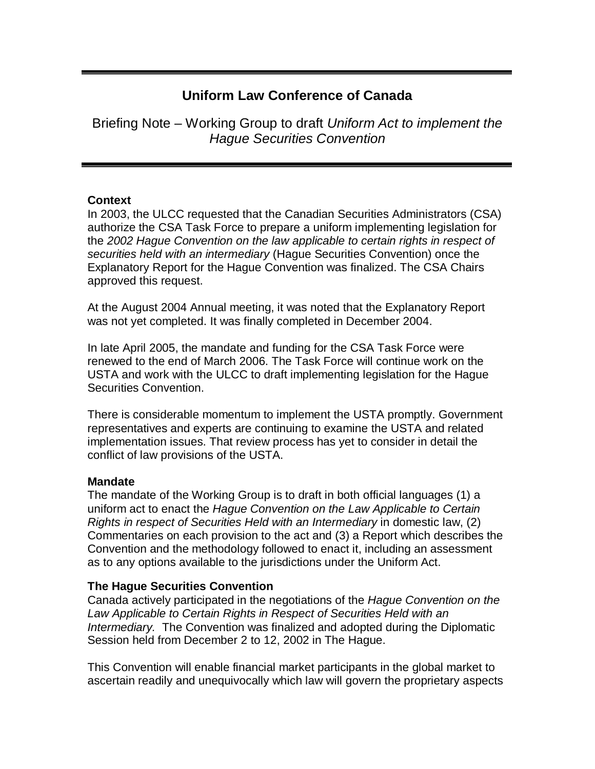# **Uniform Law Conference of Canada**

Briefing Note – Working Group to draft Uniform Act to implement the Hague Securities Convention

# **Context**

In 2003, the ULCC requested that the Canadian Securities Administrators (CSA) authorize the CSA Task Force to prepare a uniform implementing legislation for the 2002 Hague Convention on the law applicable to certain rights in respect of securities held with an intermediary (Hague Securities Convention) once the Explanatory Report for the Hague Convention was finalized. The CSA Chairs approved this request.

At the August 2004 Annual meeting, it was noted that the Explanatory Report was not yet completed. It was finally completed in December 2004.

In late April 2005, the mandate and funding for the CSA Task Force were renewed to the end of March 2006. The Task Force will continue work on the USTA and work with the ULCC to draft implementing legislation for the Hague Securities Convention.

There is considerable momentum to implement the USTA promptly. Government representatives and experts are continuing to examine the USTA and related implementation issues. That review process has yet to consider in detail the conflict of law provisions of the USTA.

# **Mandate**

The mandate of the Working Group is to draft in both official languages (1) a uniform act to enact the Hague Convention on the Law Applicable to Certain Rights in respect of Securities Held with an Intermediary in domestic law, (2) Commentaries on each provision to the act and (3) a Report which describes the Convention and the methodology followed to enact it, including an assessment as to any options available to the jurisdictions under the Uniform Act.

# **The Hague Securities Convention**

Canada actively participated in the negotiations of the Hague Convention on the Law Applicable to Certain Rights in Respect of Securities Held with an Intermediary. The Convention was finalized and adopted during the Diplomatic Session held from December 2 to 12, 2002 in The Hague.

This Convention will enable financial market participants in the global market to ascertain readily and unequivocally which law will govern the proprietary aspects